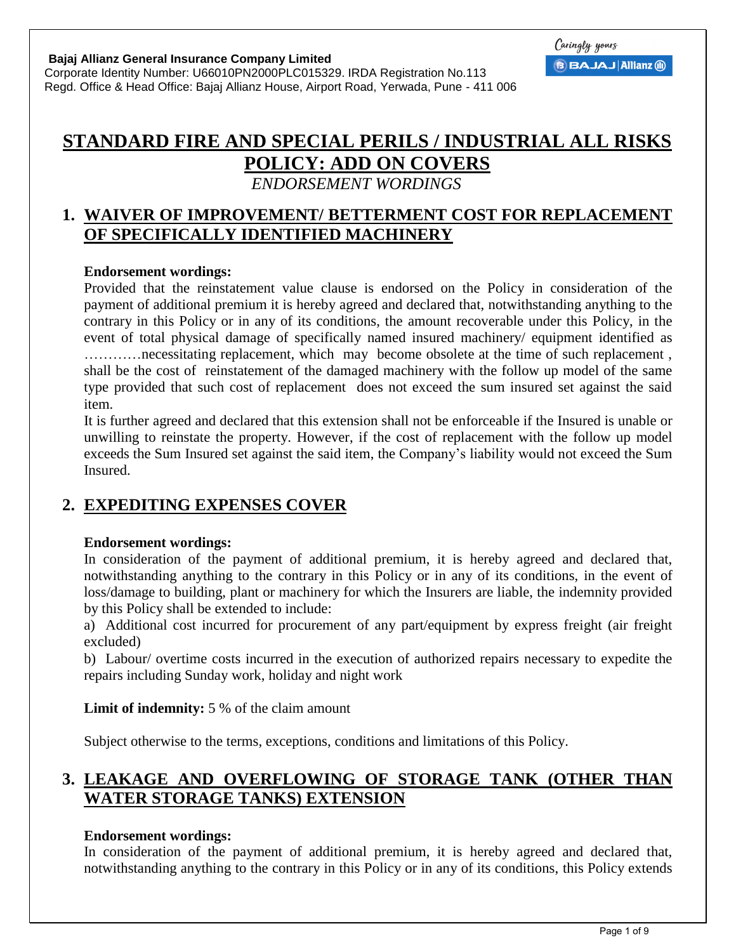**Bajaj Allianz General Insurance Company Limited** 

Corporate Identity Number: U66010PN2000PLC015329. IRDA Registration No.113 Regd. Office & Head Office: Bajaj Allianz House, Airport Road, Yerwada, Pune - 411 006

# **STANDARD FIRE AND SPECIAL PERILS / INDUSTRIAL ALL RISKS POLICY: ADD ON COVERS**

*ENDORSEMENT WORDINGS* 

## **1. WAIVER OF IMPROVEMENT/ BETTERMENT COST FOR REPLACEMENT OF SPECIFICALLY IDENTIFIED MACHINERY**

### **Endorsement wordings:**

Provided that the reinstatement value clause is endorsed on the Policy in consideration of the payment of additional premium it is hereby agreed and declared that, notwithstanding anything to the contrary in this Policy or in any of its conditions, the amount recoverable under this Policy, in the event of total physical damage of specifically named insured machinery/ equipment identified as …………necessitating replacement, which may become obsolete at the time of such replacement , shall be the cost of reinstatement of the damaged machinery with the follow up model of the same type provided that such cost of replacement does not exceed the sum insured set against the said item.

It is further agreed and declared that this extension shall not be enforceable if the Insured is unable or unwilling to reinstate the property. However, if the cost of replacement with the follow up model exceeds the Sum Insured set against the said item, the Company's liability would not exceed the Sum Insured.

## **2. EXPEDITING EXPENSES COVER**

## **Endorsement wordings:**

In consideration of the payment of additional premium, it is hereby agreed and declared that, notwithstanding anything to the contrary in this Policy or in any of its conditions, in the event of loss/damage to building, plant or machinery for which the Insurers are liable, the indemnity provided by this Policy shall be extended to include:

a) Additional cost incurred for procurement of any part/equipment by express freight (air freight excluded)

b) Labour/ overtime costs incurred in the execution of authorized repairs necessary to expedite the repairs including Sunday work, holiday and night work

## **Limit of indemnity:** 5 % of the claim amount

Subject otherwise to the terms, exceptions, conditions and limitations of this Policy.

## **3. LEAKAGE AND OVERFLOWING OF STORAGE TANK (OTHER THAN WATER STORAGE TANKS) EXTENSION**

## **Endorsement wordings:**

In consideration of the payment of additional premium, it is hereby agreed and declared that, notwithstanding anything to the contrary in this Policy or in any of its conditions, this Policy extends

Caringly yours

**BBAJAJ Allianz @**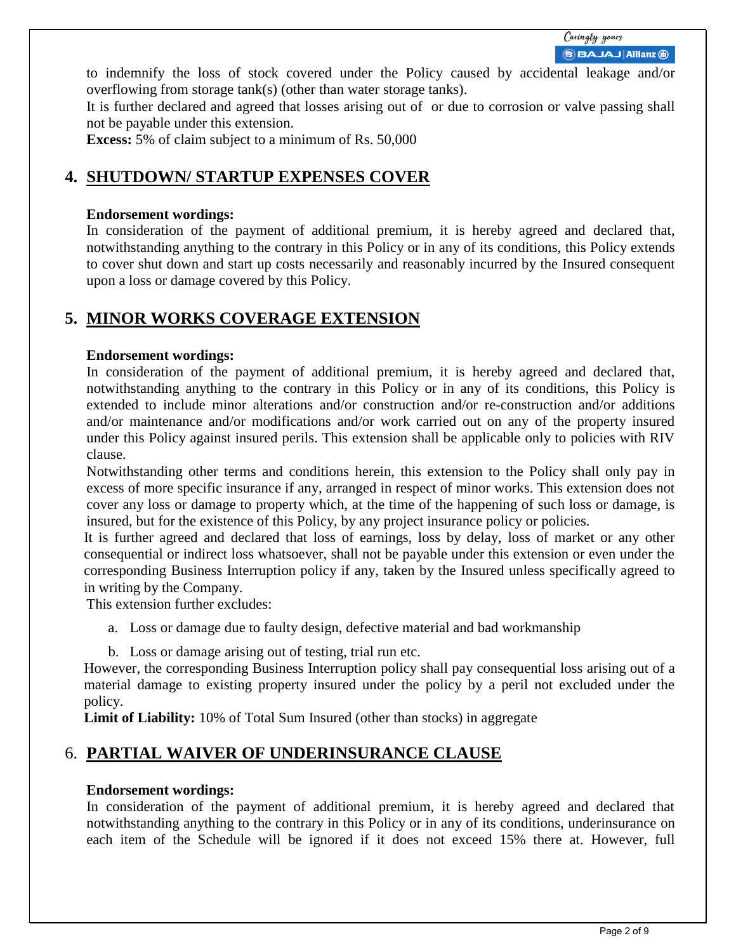to indemnify the loss of stock covered under the Policy caused by accidental leakage and/or overflowing from storage tank(s) (other than water storage tanks).

It is further declared and agreed that losses arising out of or due to corrosion or valve passing shall not be payable under this extension.

**Excess:** 5% of claim subject to a minimum of Rs. 50,000

## **4. SHUTDOWN/ STARTUP EXPENSES COVER**

#### **Endorsement wordings:**

In consideration of the payment of additional premium, it is hereby agreed and declared that, notwithstanding anything to the contrary in this Policy or in any of its conditions, this Policy extends to cover shut down and start up costs necessarily and reasonably incurred by the Insured consequent upon a loss or damage covered by this Policy.

## **5. MINOR WORKS COVERAGE EXTENSION**

#### **Endorsement wordings:**

In consideration of the payment of additional premium, it is hereby agreed and declared that, notwithstanding anything to the contrary in this Policy or in any of its conditions, this Policy is extended to include minor alterations and/or construction and/or re-construction and/or additions and/or maintenance and/or modifications and/or work carried out on any of the property insured under this Policy against insured perils. This extension shall be applicable only to policies with RIV clause.

 Notwithstanding other terms and conditions herein, this extension to the Policy shall only pay in excess of more specific insurance if any, arranged in respect of minor works. This extension does not cover any loss or damage to property which, at the time of the happening of such loss or damage, is insured, but for the existence of this Policy, by any project insurance policy or policies.

It is further agreed and declared that loss of earnings, loss by delay, loss of market or any other consequential or indirect loss whatsoever, shall not be payable under this extension or even under the corresponding Business Interruption policy if any, taken by the Insured unless specifically agreed to in writing by the Company.

This extension further excludes:

a. Loss or damage due to faulty design, defective material and bad workmanship

b. Loss or damage arising out of testing, trial run etc.

However, the corresponding Business Interruption policy shall pay consequential loss arising out of a material damage to existing property insured under the policy by a peril not excluded under the policy.

**Limit of Liability:** 10% of Total Sum Insured (other than stocks) in aggregate

## 6. **PARTIAL WAIVER OF UNDERINSURANCE CLAUSE**

#### **Endorsement wordings:**

In consideration of the payment of additional premium, it is hereby agreed and declared that notwithstanding anything to the contrary in this Policy or in any of its conditions, underinsurance on each item of the Schedule will be ignored if it does not exceed 15% there at. However, full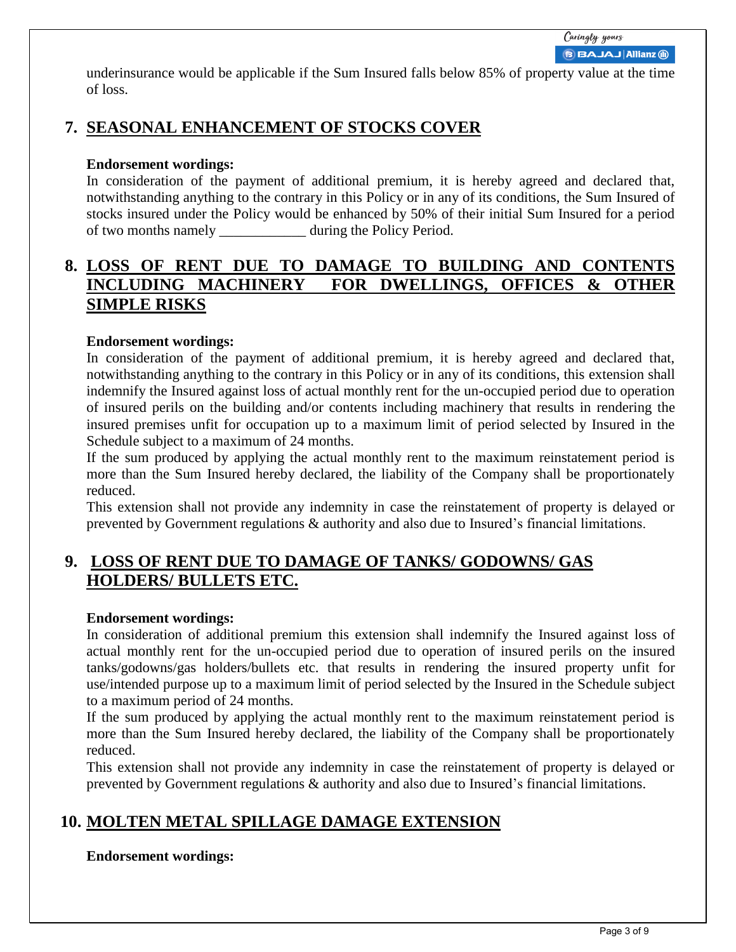underinsurance would be applicable if the Sum Insured falls below 85% of property value at the time of loss.

## **7. SEASONAL ENHANCEMENT OF STOCKS COVER**

### **Endorsement wordings:**

In consideration of the payment of additional premium, it is hereby agreed and declared that, notwithstanding anything to the contrary in this Policy or in any of its conditions, the Sum Insured of stocks insured under the Policy would be enhanced by 50% of their initial Sum Insured for a period of two months namely \_\_\_\_\_\_\_\_\_\_\_\_ during the Policy Period.

## **8. LOSS OF RENT DUE TO DAMAGE TO BUILDING AND CONTENTS INCLUDING MACHINERY FOR DWELLINGS, OFFICES & OTHER SIMPLE RISKS**

### **Endorsement wordings:**

In consideration of the payment of additional premium, it is hereby agreed and declared that, notwithstanding anything to the contrary in this Policy or in any of its conditions, this extension shall indemnify the Insured against loss of actual monthly rent for the un-occupied period due to operation of insured perils on the building and/or contents including machinery that results in rendering the insured premises unfit for occupation up to a maximum limit of period selected by Insured in the Schedule subject to a maximum of 24 months.

If the sum produced by applying the actual monthly rent to the maximum reinstatement period is more than the Sum Insured hereby declared, the liability of the Company shall be proportionately reduced.

This extension shall not provide any indemnity in case the reinstatement of property is delayed or prevented by Government regulations & authority and also due to Insured's financial limitations.

## **9. LOSS OF RENT DUE TO DAMAGE OF TANKS/ GODOWNS/ GAS HOLDERS/ BULLETS ETC.**

#### **Endorsement wordings:**

In consideration of additional premium this extension shall indemnify the Insured against loss of actual monthly rent for the un-occupied period due to operation of insured perils on the insured tanks/godowns/gas holders/bullets etc. that results in rendering the insured property unfit for use/intended purpose up to a maximum limit of period selected by the Insured in the Schedule subject to a maximum period of 24 months.

If the sum produced by applying the actual monthly rent to the maximum reinstatement period is more than the Sum Insured hereby declared, the liability of the Company shall be proportionately reduced.

This extension shall not provide any indemnity in case the reinstatement of property is delayed or prevented by Government regulations & authority and also due to Insured's financial limitations.

## **10. MOLTEN METAL SPILLAGE DAMAGE EXTENSION**

#### **Endorsement wordings:**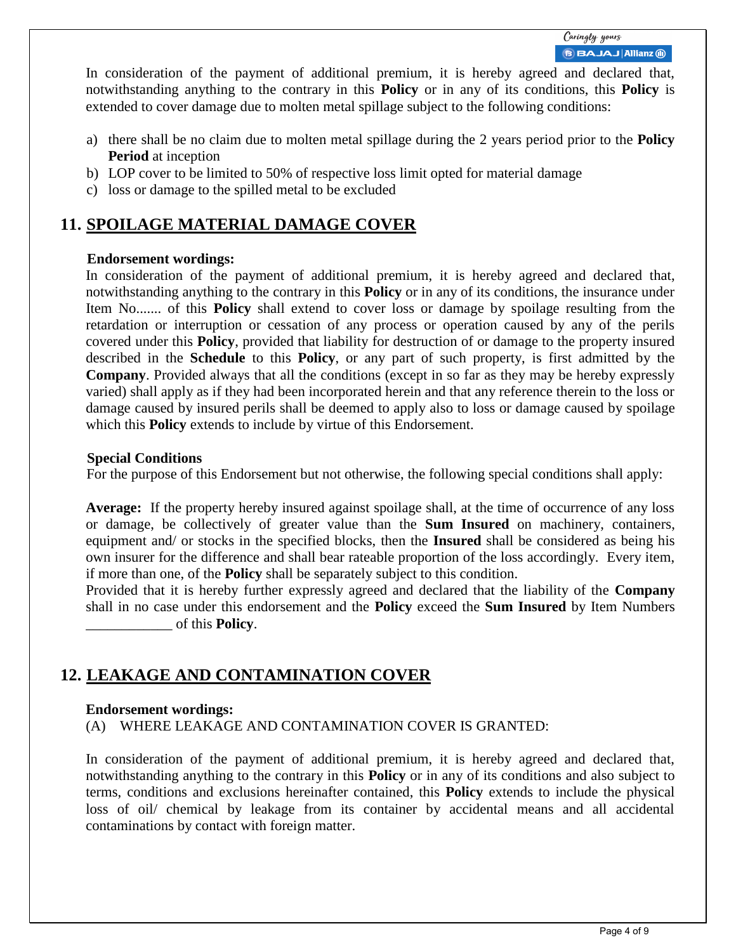In consideration of the payment of additional premium, it is hereby agreed and declared that, notwithstanding anything to the contrary in this **Policy** or in any of its conditions, this **Policy** is extended to cover damage due to molten metal spillage subject to the following conditions:

- a) there shall be no claim due to molten metal spillage during the 2 years period prior to the **Policy Period** at inception
- b) LOP cover to be limited to 50% of respective loss limit opted for material damage
- c) loss or damage to the spilled metal to be excluded

## **11. SPOILAGE MATERIAL DAMAGE COVER**

### **Endorsement wordings:**

In consideration of the payment of additional premium, it is hereby agreed and declared that, notwithstanding anything to the contrary in this **Policy** or in any of its conditions, the insurance under Item No....... of this **Policy** shall extend to cover loss or damage by spoilage resulting from the retardation or interruption or cessation of any process or operation caused by any of the perils covered under this **Policy**, provided that liability for destruction of or damage to the property insured described in the **Schedule** to this **Policy**, or any part of such property, is first admitted by the **Company**. Provided always that all the conditions (except in so far as they may be hereby expressly varied) shall apply as if they had been incorporated herein and that any reference therein to the loss or damage caused by insured perils shall be deemed to apply also to loss or damage caused by spoilage which this **Policy** extends to include by virtue of this Endorsement.

### **Special Conditions**

For the purpose of this Endorsement but not otherwise, the following special conditions shall apply:

**Average:** If the property hereby insured against spoilage shall, at the time of occurrence of any loss or damage, be collectively of greater value than the **Sum Insured** on machinery, containers, equipment and/ or stocks in the specified blocks, then the **Insured** shall be considered as being his own insurer for the difference and shall bear rateable proportion of the loss accordingly. Every item, if more than one, of the **Policy** shall be separately subject to this condition.

Provided that it is hereby further expressly agreed and declared that the liability of the **Company** shall in no case under this endorsement and the **Policy** exceed the **Sum Insured** by Item Numbers \_\_\_\_\_\_\_\_\_\_\_\_ of this **Policy**.

## **12. LEAKAGE AND CONTAMINATION COVER**

### **Endorsement wordings:**

(A) WHERE LEAKAGE AND CONTAMINATION COVER IS GRANTED:

In consideration of the payment of additional premium, it is hereby agreed and declared that, notwithstanding anything to the contrary in this **Policy** or in any of its conditions and also subject to terms, conditions and exclusions hereinafter contained, this **Policy** extends to include the physical loss of oil/ chemical by leakage from its container by accidental means and all accidental contaminations by contact with foreign matter.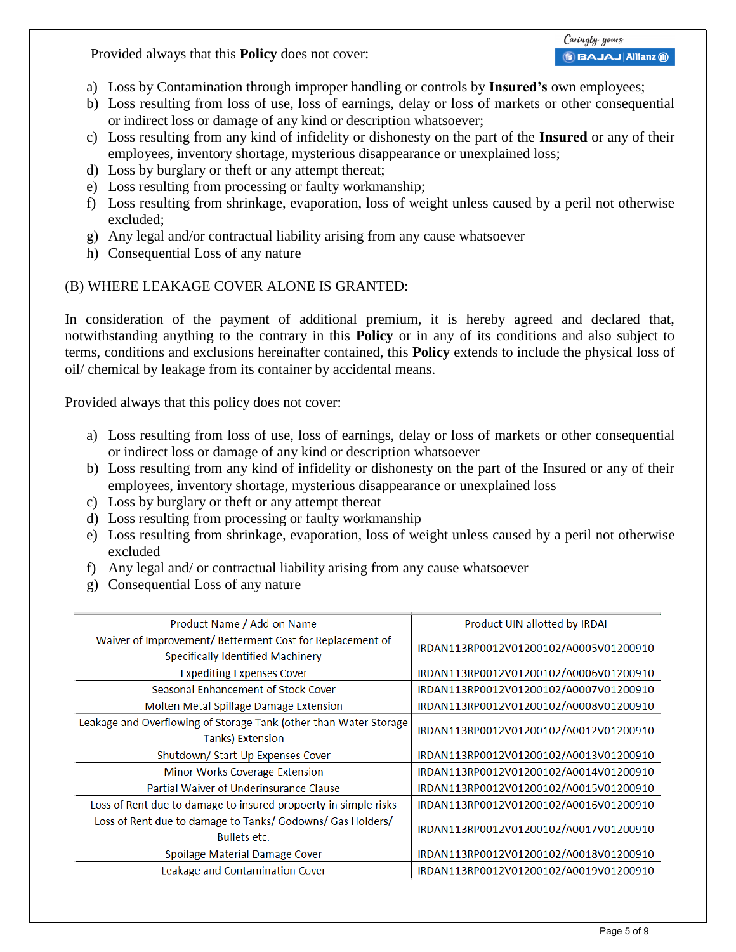Provided always that this **Policy** does not cover:

- a) Loss by Contamination through improper handling or controls by **Insured's** own employees;
- b) Loss resulting from loss of use, loss of earnings, delay or loss of markets or other consequential or indirect loss or damage of any kind or description whatsoever;
- c) Loss resulting from any kind of infidelity or dishonesty on the part of the **Insured** or any of their employees, inventory shortage, mysterious disappearance or unexplained loss;
- d) Loss by burglary or theft or any attempt thereat;
- e) Loss resulting from processing or faulty workmanship;
- f) Loss resulting from shrinkage, evaporation, loss of weight unless caused by a peril not otherwise excluded;
- g) Any legal and/or contractual liability arising from any cause whatsoever
- h) Consequential Loss of any nature

## (B) WHERE LEAKAGE COVER ALONE IS GRANTED:

In consideration of the payment of additional premium, it is hereby agreed and declared that, notwithstanding anything to the contrary in this **Policy** or in any of its conditions and also subject to terms, conditions and exclusions hereinafter contained, this **Policy** extends to include the physical loss of oil/ chemical by leakage from its container by accidental means.

Provided always that this policy does not cover:

- a) Loss resulting from loss of use, loss of earnings, delay or loss of markets or other consequential or indirect loss or damage of any kind or description whatsoever
- b) Loss resulting from any kind of infidelity or dishonesty on the part of the Insured or any of their employees, inventory shortage, mysterious disappearance or unexplained loss
- c) Loss by burglary or theft or any attempt thereat
- d) Loss resulting from processing or faulty workmanship
- e) Loss resulting from shrinkage, evaporation, loss of weight unless caused by a peril not otherwise excluded
- f) Any legal and/ or contractual liability arising from any cause whatsoever
- g) Consequential Loss of any nature

| Product Name / Add-on Name                                                                     | Product UIN allotted by IRDAI          |
|------------------------------------------------------------------------------------------------|----------------------------------------|
| Waiver of Improvement/ Betterment Cost for Replacement of<br>Specifically Identified Machinery | IRDAN113RP0012V01200102/A0005V01200910 |
| <b>Expediting Expenses Cover</b>                                                               | IRDAN113RP0012V01200102/A0006V01200910 |
| Seasonal Enhancement of Stock Cover                                                            | IRDAN113RP0012V01200102/A0007V01200910 |
| Molten Metal Spillage Damage Extension                                                         | IRDAN113RP0012V01200102/A0008V01200910 |
| Leakage and Overflowing of Storage Tank (other than Water Storage<br><b>Tanks) Extension</b>   | IRDAN113RP0012V01200102/A0012V01200910 |
| Shutdown/Start-Up Expenses Cover                                                               | IRDAN113RP0012V01200102/A0013V01200910 |
| Minor Works Coverage Extension                                                                 | IRDAN113RP0012V01200102/A0014V01200910 |
| Partial Waiver of Underinsurance Clause                                                        | IRDAN113RP0012V01200102/A0015V01200910 |
| Loss of Rent due to damage to insured propoerty in simple risks                                | IRDAN113RP0012V01200102/A0016V01200910 |
| Loss of Rent due to damage to Tanks/ Godowns/ Gas Holders/<br><b>Bullets etc.</b>              | IRDAN113RP0012V01200102/A0017V01200910 |
| Spoilage Material Damage Cover                                                                 | IRDAN113RP0012V01200102/A0018V01200910 |
| Leakage and Contamination Cover                                                                | IRDAN113RP0012V01200102/A0019V01200910 |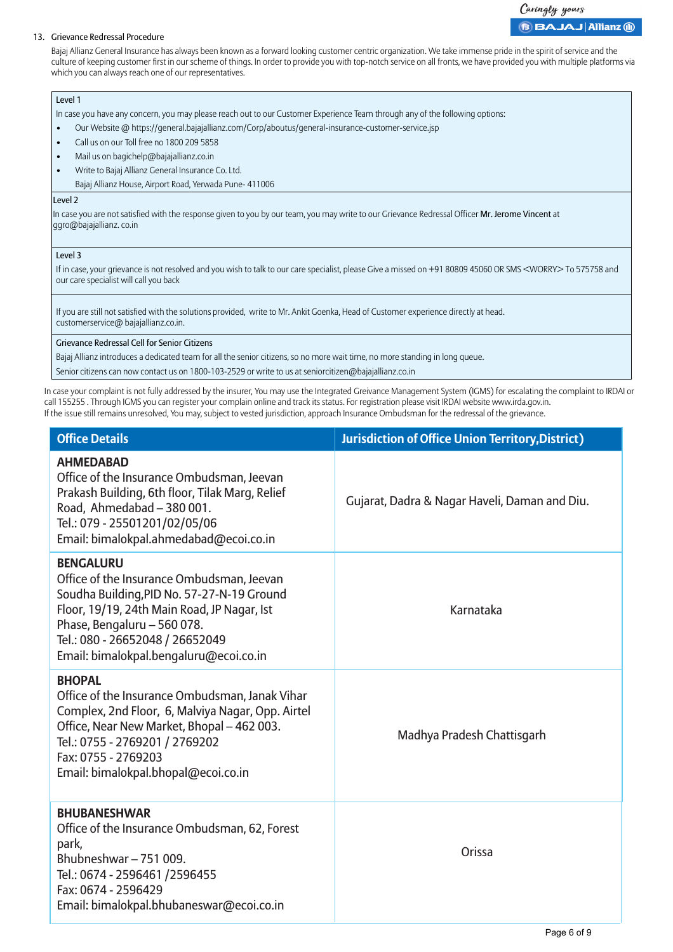#### Caringly yours **BBAJAJ Allianz @**

#### 13. Grievance Redressal Procedure

Bajaj Allianz General Insurance has always been known as a forward looking customer centric organization. We take immense pride in the spirit of service and the culture of keeping customer first in our scheme of things. In order to provide you with top-notch service on all fronts, we have provided you with multiple platforms via which you can always reach one of our representatives.

#### Level 1

In case you have any concern, you may please reach out to our Customer Experience Team through any of the following options:

- Our Website @ https://general.bajajallianz.com/Corp/aboutus/general-insurance-customer-service.jsp
- Call us on our Toll free no 1800 209 5858
- Mail us on bagichelp@bajajallianz.co.in
- Write to Bajaj Allianz General Insurance Co. Ltd.
	- Bajaj Allianz House, Airport Road, Yerwada Pune- 411006

#### Level 2

In case you are not satisfied with the response given to you by our team, you may write to our Grievance Redressal Officer Mr. Jerome Vincent at ggro@bajajallianz. co.in

#### Level 3

If in case, your grievance is not resolved and you wish to talk to our care specialist, please Give a missed on +91 80809 45060 OR SMS <WORRY> To 575758 and our care specialist will call you back

If you are still not satisfied with the solutions provided, write to Mr. Ankit Goenka, Head of Customer experience directly at head. customerservice@ bajajallianz.co.in.

#### Grievance Redressal Cell for Senior Citizens

Bajaj Allianz introduces a dedicated team for all the senior citizens, so no more wait time, no more standing in long queue.

Senior citizens can now contact us on 1800-103-2529 or write to us at seniorcitizen@bajajallianz.co.in

In case your complaint is not fully addressed by the insurer, You may use the Integrated Greivance Management System (IGMS) for escalating the complaint to IRDAI or call 155255 . Through IGMS you can register your complain online and track its status. For registration please visit IRDAI website www.irda.gov.in. If the issue still remains unresolved, You may, subject to vested jurisdiction, approach Insurance Ombudsman for the redressal of the grievance.

| <b>Office Details</b>                                                                                                                                                                                                                                                  | <b>Jurisdiction of Office Union Territory, District)</b> |
|------------------------------------------------------------------------------------------------------------------------------------------------------------------------------------------------------------------------------------------------------------------------|----------------------------------------------------------|
| <b>AHMEDABAD</b><br>Office of the Insurance Ombudsman, Jeevan<br>Prakash Building, 6th floor, Tilak Marg, Relief<br>Road, Ahmedabad - 380 001.<br>Tel.: 079 - 25501201/02/05/06<br>Email: bimalokpal.ahmedabad@ecoi.co.in                                              | Gujarat, Dadra & Nagar Haveli, Daman and Diu.            |
| <b>BENGALURU</b><br>Office of the Insurance Ombudsman, Jeevan<br>Soudha Building, PID No. 57-27-N-19 Ground<br>Floor, 19/19, 24th Main Road, JP Nagar, Ist<br>Phase, Bengaluru - 560 078.<br>Tel.: 080 - 26652048 / 26652049<br>Email: bimalokpal.bengaluru@ecoi.co.in | Karnataka                                                |
| <b>BHOPAL</b><br>Office of the Insurance Ombudsman, Janak Vihar<br>Complex, 2nd Floor, 6, Malviya Nagar, Opp. Airtel<br>Office, Near New Market, Bhopal - 462 003.<br>Tel.: 0755 - 2769201 / 2769202<br>Fax: 0755 - 2769203<br>Email: bimalokpal.bhopal@ecoi.co.in     | Madhya Pradesh Chattisgarh                               |
| <b>BHUBANESHWAR</b><br>Office of the Insurance Ombudsman, 62, Forest<br>park,<br>Bhubneshwar-751009.<br>Tel.: 0674 - 2596461 /2596455<br>Fax: 0674 - 2596429<br>Email: bimalokpal.bhubaneswar@ecoi.co.in                                                               | Orissa                                                   |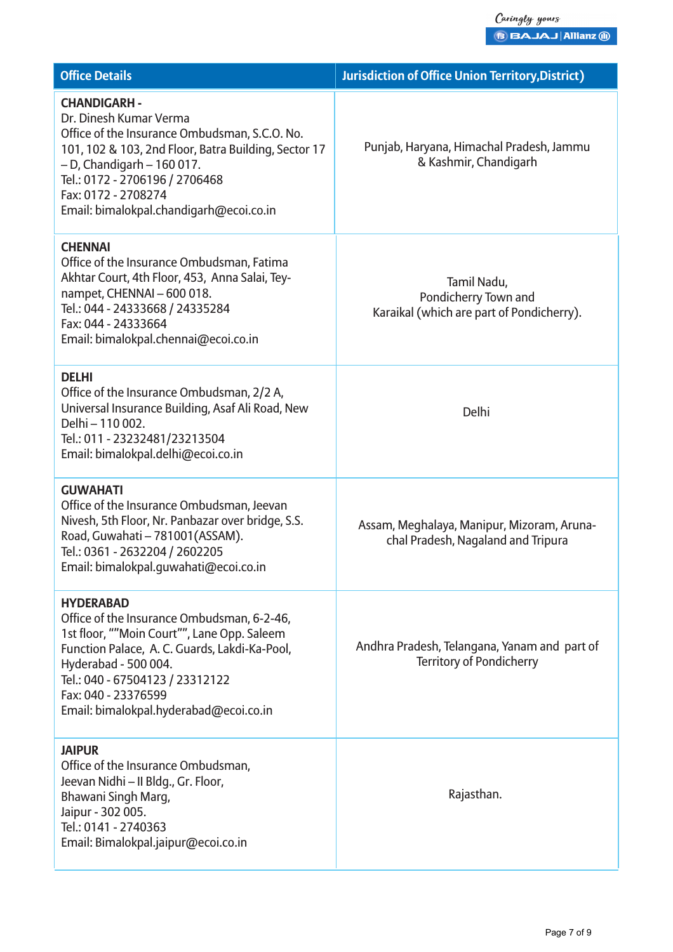| <b>Office Details</b>                                                                                                                                                                                                                                                                        | <b>Jurisdiction of Office Union Territory, District)</b>                         |
|----------------------------------------------------------------------------------------------------------------------------------------------------------------------------------------------------------------------------------------------------------------------------------------------|----------------------------------------------------------------------------------|
| <b>CHANDIGARH -</b><br>Dr. Dinesh Kumar Verma<br>Office of the Insurance Ombudsman, S.C.O. No.<br>101, 102 & 103, 2nd Floor, Batra Building, Sector 17<br>$-$ D, Chandigarh $-$ 160 017.<br>Tel.: 0172 - 2706196 / 2706468<br>Fax: 0172 - 2708274<br>Email: bimalokpal.chandigarh@ecoi.co.in | Punjab, Haryana, Himachal Pradesh, Jammu<br>& Kashmir, Chandigarh                |
| <b>CHENNAI</b><br>Office of the Insurance Ombudsman, Fatima<br>Akhtar Court, 4th Floor, 453, Anna Salai, Tey-<br>nampet, CHENNAI - 600 018.<br>Tel.: 044 - 24333668 / 24335284<br>Fax: 044 - 24333664<br>Email: bimalokpal.chennai@ecoi.co.in                                                | Tamil Nadu,<br>Pondicherry Town and<br>Karaikal (which are part of Pondicherry). |
| <b>DELHI</b><br>Office of the Insurance Ombudsman, 2/2 A,<br>Universal Insurance Building, Asaf Ali Road, New<br>Delhi - 110 002.<br>Tel.: 011 - 23232481/23213504<br>Email: bimalokpal.delhi@ecoi.co.in                                                                                     | Delhi                                                                            |
| <b>GUWAHATI</b><br>Office of the Insurance Ombudsman, Jeevan<br>Nivesh, 5th Floor, Nr. Panbazar over bridge, S.S.<br>Road, Guwahati - 781001(ASSAM).<br>Tel.: 0361 - 2632204 / 2602205<br>Email: bimalokpal.quwahati@ecoi.co.in                                                              | Assam, Meghalaya, Manipur, Mizoram, Aruna-<br>chal Pradesh, Nagaland and Tripura |
| <b>HYDERABAD</b><br>Office of the Insurance Ombudsman, 6-2-46,<br>1st floor, ""Moin Court"", Lane Opp. Saleem<br>Function Palace, A. C. Guards, Lakdi-Ka-Pool,<br>Hyderabad - 500 004.<br>Tel.: 040 - 67504123 / 23312122<br>Fax: 040 - 23376599<br>Email: bimalokpal.hyderabad@ecoi.co.in   | Andhra Pradesh, Telangana, Yanam and part of<br><b>Territory of Pondicherry</b>  |
| <b>JAIPUR</b><br>Office of the Insurance Ombudsman,<br>Jeevan Nidhi - II Bldg., Gr. Floor,<br>Bhawani Singh Marg,<br>Jaipur - 302 005.<br>Tel.: 0141 - 2740363<br>Email: Bimalokpal.jaipur@ecoi.co.in                                                                                        | Rajasthan.                                                                       |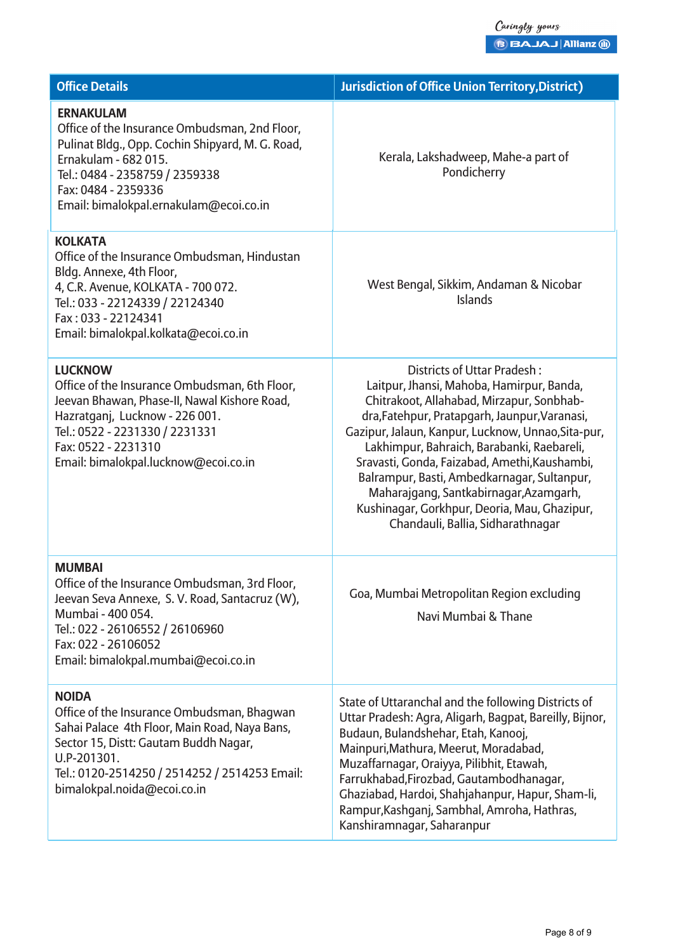| <b>Office Details</b>                                                                                                                                                                                                                               | <b>Jurisdiction of Office Union Territory, District)</b>                                                                                                                                                                                                                                                                                                                                                                                                                                                  |
|-----------------------------------------------------------------------------------------------------------------------------------------------------------------------------------------------------------------------------------------------------|-----------------------------------------------------------------------------------------------------------------------------------------------------------------------------------------------------------------------------------------------------------------------------------------------------------------------------------------------------------------------------------------------------------------------------------------------------------------------------------------------------------|
| <b>ERNAKULAM</b><br>Office of the Insurance Ombudsman, 2nd Floor,<br>Pulinat Bldg., Opp. Cochin Shipyard, M. G. Road,<br>Ernakulam - 682 015.<br>Tel.: 0484 - 2358759 / 2359338<br>Fax: 0484 - 2359336<br>Email: bimalokpal.ernakulam@ecoi.co.in    | Kerala, Lakshadweep, Mahe-a part of<br>Pondicherry                                                                                                                                                                                                                                                                                                                                                                                                                                                        |
| <b>KOLKATA</b><br>Office of the Insurance Ombudsman, Hindustan<br>Bldg. Annexe, 4th Floor,<br>4, C.R. Avenue, KOLKATA - 700 072.<br>Tel.: 033 - 22124339 / 22124340<br>Fax: 033 - 22124341<br>Email: bimalokpal.kolkata@ecoi.co.in                  | West Bengal, Sikkim, Andaman & Nicobar<br><b>Islands</b>                                                                                                                                                                                                                                                                                                                                                                                                                                                  |
| <b>LUCKNOW</b><br>Office of the Insurance Ombudsman, 6th Floor,<br>Jeevan Bhawan, Phase-II, Nawal Kishore Road,<br>Hazratganj, Lucknow - 226 001.<br>Tel.: 0522 - 2231330 / 2231331<br>Fax: 0522 - 2231310<br>Email: bimalokpal.lucknow@ecoi.co.in  | Districts of Uttar Pradesh:<br>Laitpur, Jhansi, Mahoba, Hamirpur, Banda,<br>Chitrakoot, Allahabad, Mirzapur, Sonbhab-<br>dra, Fatehpur, Pratapgarh, Jaunpur, Varanasi,<br>Gazipur, Jalaun, Kanpur, Lucknow, Unnao, Sita-pur,<br>Lakhimpur, Bahraich, Barabanki, Raebareli,<br>Sravasti, Gonda, Faizabad, Amethi, Kaushambi,<br>Balrampur, Basti, Ambedkarnagar, Sultanpur,<br>Maharajgang, Santkabirnagar, Azamgarh,<br>Kushinagar, Gorkhpur, Deoria, Mau, Ghazipur,<br>Chandauli, Ballia, Sidharathnagar |
| <b>MUMBAI</b><br>Office of the Insurance Ombudsman, 3rd Floor,<br>Jeevan Seva Annexe, S. V. Road, Santacruz (W),<br>Mumbai - 400 054.<br>Tel.: 022 - 26106552 / 26106960<br>Fax: 022 - 26106052<br>Email: bimalokpal.mumbai@ecoi.co.in              | Goa, Mumbai Metropolitan Region excluding<br>Navi Mumbai & Thane                                                                                                                                                                                                                                                                                                                                                                                                                                          |
| <b>NOIDA</b><br>Office of the Insurance Ombudsman, Bhagwan<br>Sahai Palace 4th Floor, Main Road, Naya Bans,<br>Sector 15, Distt: Gautam Buddh Nagar,<br>U.P-201301.<br>Tel.: 0120-2514250 / 2514252 / 2514253 Email:<br>bimalokpal.noida@ecoi.co.in | State of Uttaranchal and the following Districts of<br>Uttar Pradesh: Agra, Aligarh, Bagpat, Bareilly, Bijnor,<br>Budaun, Bulandshehar, Etah, Kanooj,<br>Mainpuri, Mathura, Meerut, Moradabad,<br>Muzaffarnagar, Oraiyya, Pilibhit, Etawah,<br>Farrukhabad, Firozbad, Gautambodhanagar,<br>Ghaziabad, Hardoi, Shahjahanpur, Hapur, Sham-li,<br>Rampur, Kashganj, Sambhal, Amroha, Hathras,<br>Kanshiramnagar, Saharanpur                                                                                  |